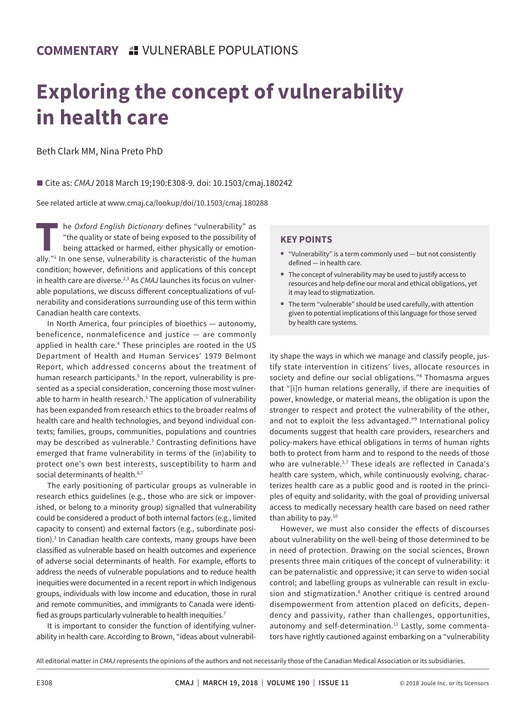## **Exploring the concept of vulnerability in health care**

Beth Clark MM, Nina Preto PhD

■ Cite as: *CMAJ* 2018 March 19;190:E308-9. doi: 10.1503/cmaj.180242

See related article at www.cmaj.ca/lookup/doi/10.1503/cmaj.180288

**The** *Oxford English Dictionary* **defines "vulnerability" as<br>
"the quality or state of being exposed to the possibility of<br>
being attacked or harmed, either physically or emotion-<br>
ally "<sup>1</sup> In one sense, vulnerability is c** "the quality or state of being exposed to the possibility of being attacked or harmed, either physically or emotionally."1 In one sense, vulnerability is characteristic of the human condition; however, definitions and applications of this concept in health care are diverse.2,3 As *CMAJ* launches its focus on vulnerable populations, we discuss different conceptualizations of vulnerability and considerations surrounding use of this term within Canadian health care contexts.

In North America, four principles of bioethics — autonomy, beneficence, nonmaleficence and justice — are commonly applied in health care.<sup>4</sup> These principles are rooted in the US Department of Health and Human Services' 1979 Belmont Report, which addressed concerns about the treatment of human research participants.<sup>5</sup> In the report, vulnerability is presented as a special consideration, concerning those most vulnerable to harm in health research.<sup>5</sup> The application of vulnerability has been expanded from research ethics to the broader realms of health care and health technologies, and beyond individual contexts; families, groups, communities, populations and countries may be described as vulnerable.<sup>3</sup> Contrasting definitions have emerged that frame vulnerability in terms of the (in)ability to protect one's own best interests, susceptibility to harm and social determinants of health.<sup>6,7</sup>

The early positioning of particular groups as vulnerable in research ethics guidelines (e.g., those who are sick or impoverished, or belong to a minority group) signalled that vulnerability could be considered a product of both internal factors (e.g., limited capacity to consent) and external factors (e.g., subordinate position).<sup>3</sup> In Canadian health care contexts, many groups have been classified as vulnerable based on health outcomes and experience of adverse social determinants of health. For example, efforts to address the needs of vulnerable populations and to reduce health inequities were documented in a recent report in which Indigenous groups, individuals with low income and education, those in rural and remote communities, and immigrants to Canada were identified as groups particularly vulnerable to health inequities.<sup>7</sup>

It is important to consider the function of identifying vulnerability in health care. According to Brown, "ideas about vulnerabil-

## **KEY POINTS**

- **•** "Vulnerability" is a term commonly used but not consistently defined — in health care.
- **•** The concept of vulnerability may be used to justify access to resources and help define our moral and ethical obligations, yet it may lead to stigmatization.
- **•** The term "vulnerable" should be used carefully, with attention given to potential implications of this language for those served by health care systems.

ity shape the ways in which we manage and classify people, justify state intervention in citizens' lives, allocate resources in society and define our social obligations."8 Thomasma argues that "[i]n human relations generally, if there are inequities of power, knowledge, or material means, the obligation is upon the stronger to respect and protect the vulnerability of the other, and not to exploit the less advantaged."<sup>9</sup> International policy documents suggest that health care providers, researchers and policy-makers have ethical obligations in terms of human rights both to protect from harm and to respond to the needs of those who are vulnerable.<sup>3,7</sup> These ideals are reflected in Canada's health care system, which, while continuously evolving, characterizes health care as a public good and is rooted in the principles of equity and solidarity, with the goal of providing universal access to medically necessary health care based on need rather than ability to pay.<sup>10</sup>

However, we must also consider the effects of discourses about vulnerability on the well-being of those determined to be in need of protection. Drawing on the social sciences, Brown presents three main critiques of the concept of vulnerability: it can be paternalistic and oppressive; it can serve to widen social control; and labelling groups as vulnerable can result in exclusion and stigmatization.<sup>8</sup> Another critique is centred around disempowerment from attention placed on deficits, dependency and passivity, rather than challenges, opportunities, autonomy and self-determination.<sup>11</sup> Lastly, some commentators have rightly cautioned against embarking on a "vulnerability

All editorial matter in *CMAJ* represents the opinions of the authors and not necessarily those of the Canadian Medical Association or its subsidiaries.